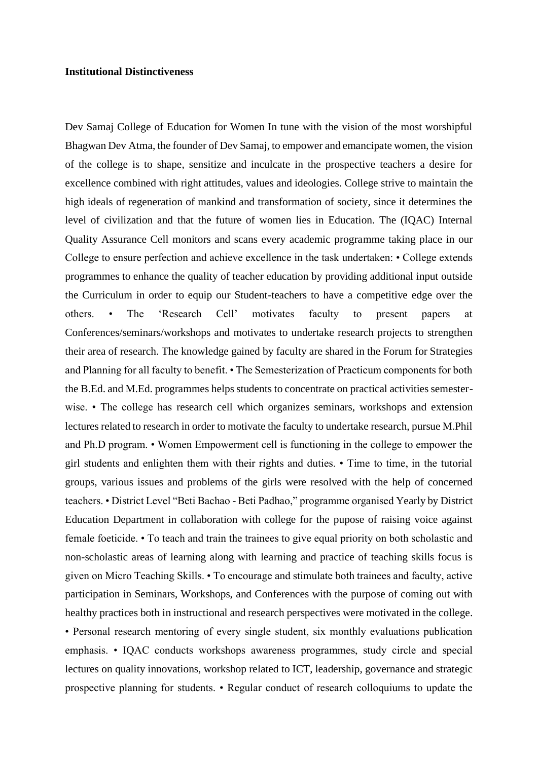## **Institutional Distinctiveness**

Dev Samaj College of Education for Women In tune with the vision of the most worshipful Bhagwan Dev Atma, the founder of Dev Samaj, to empower and emancipate women, the vision of the college is to shape, sensitize and inculcate in the prospective teachers a desire for excellence combined with right attitudes, values and ideologies. College strive to maintain the high ideals of regeneration of mankind and transformation of society, since it determines the level of civilization and that the future of women lies in Education. The (IQAC) Internal Quality Assurance Cell monitors and scans every academic programme taking place in our College to ensure perfection and achieve excellence in the task undertaken: • College extends programmes to enhance the quality of teacher education by providing additional input outside the Curriculum in order to equip our Student-teachers to have a competitive edge over the others. • The 'Research Cell' motivates faculty to present papers at Conferences/seminars/workshops and motivates to undertake research projects to strengthen their area of research. The knowledge gained by faculty are shared in the Forum for Strategies and Planning for all faculty to benefit. • The Semesterization of Practicum components for both the B.Ed. and M.Ed. programmes helps students to concentrate on practical activities semesterwise. • The college has research cell which organizes seminars, workshops and extension lectures related to research in order to motivate the faculty to undertake research, pursue M.Phil and Ph.D program. • Women Empowerment cell is functioning in the college to empower the girl students and enlighten them with their rights and duties. • Time to time, in the tutorial groups, various issues and problems of the girls were resolved with the help of concerned teachers. • District Level "Beti Bachao - Beti Padhao," programme organised Yearly by District Education Department in collaboration with college for the pupose of raising voice against female foeticide. • To teach and train the trainees to give equal priority on both scholastic and non-scholastic areas of learning along with learning and practice of teaching skills focus is given on Micro Teaching Skills. • To encourage and stimulate both trainees and faculty, active participation in Seminars, Workshops, and Conferences with the purpose of coming out with healthy practices both in instructional and research perspectives were motivated in the college. • Personal research mentoring of every single student, six monthly evaluations publication emphasis. • IQAC conducts workshops awareness programmes, study circle and special lectures on quality innovations, workshop related to ICT, leadership, governance and strategic prospective planning for students. • Regular conduct of research colloquiums to update the